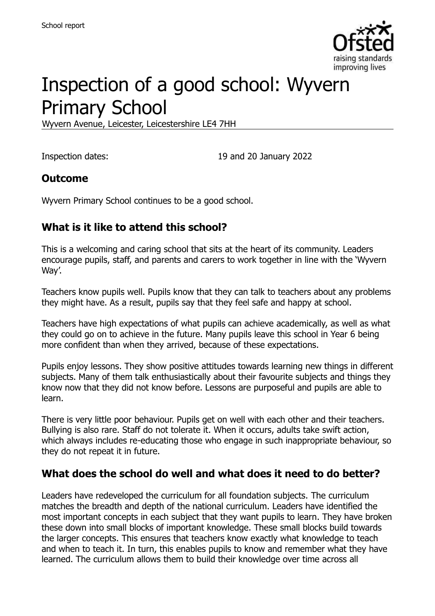

# Inspection of a good school: Wyvern Primary School

Wyvern Avenue, Leicester, Leicestershire LE4 7HH

Inspection dates: 19 and 20 January 2022

#### **Outcome**

Wyvern Primary School continues to be a good school.

#### **What is it like to attend this school?**

This is a welcoming and caring school that sits at the heart of its community. Leaders encourage pupils, staff, and parents and carers to work together in line with the 'Wyvern Way'.

Teachers know pupils well. Pupils know that they can talk to teachers about any problems they might have. As a result, pupils say that they feel safe and happy at school.

Teachers have high expectations of what pupils can achieve academically, as well as what they could go on to achieve in the future. Many pupils leave this school in Year 6 being more confident than when they arrived, because of these expectations.

Pupils enjoy lessons. They show positive attitudes towards learning new things in different subjects. Many of them talk enthusiastically about their favourite subjects and things they know now that they did not know before. Lessons are purposeful and pupils are able to learn.

There is very little poor behaviour. Pupils get on well with each other and their teachers. Bullying is also rare. Staff do not tolerate it. When it occurs, adults take swift action, which always includes re-educating those who engage in such inappropriate behaviour, so they do not repeat it in future.

#### **What does the school do well and what does it need to do better?**

Leaders have redeveloped the curriculum for all foundation subjects. The curriculum matches the breadth and depth of the national curriculum. Leaders have identified the most important concepts in each subject that they want pupils to learn. They have broken these down into small blocks of important knowledge. These small blocks build towards the larger concepts. This ensures that teachers know exactly what knowledge to teach and when to teach it. In turn, this enables pupils to know and remember what they have learned. The curriculum allows them to build their knowledge over time across all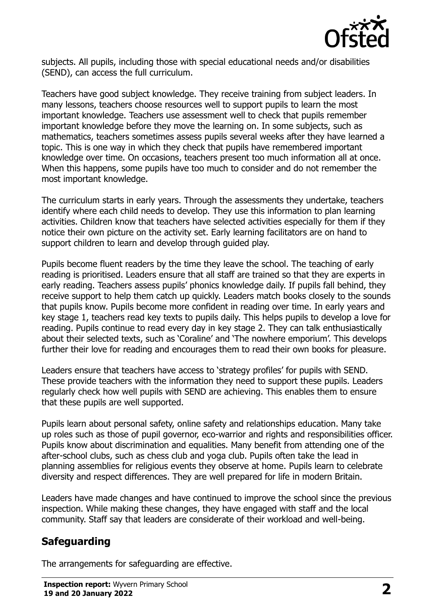

subjects. All pupils, including those with special educational needs and/or disabilities (SEND), can access the full curriculum.

Teachers have good subject knowledge. They receive training from subject leaders. In many lessons, teachers choose resources well to support pupils to learn the most important knowledge. Teachers use assessment well to check that pupils remember important knowledge before they move the learning on. In some subjects, such as mathematics, teachers sometimes assess pupils several weeks after they have learned a topic. This is one way in which they check that pupils have remembered important knowledge over time. On occasions, teachers present too much information all at once. When this happens, some pupils have too much to consider and do not remember the most important knowledge.

The curriculum starts in early years. Through the assessments they undertake, teachers identify where each child needs to develop. They use this information to plan learning activities. Children know that teachers have selected activities especially for them if they notice their own picture on the activity set. Early learning facilitators are on hand to support children to learn and develop through guided play.

Pupils become fluent readers by the time they leave the school. The teaching of early reading is prioritised. Leaders ensure that all staff are trained so that they are experts in early reading. Teachers assess pupils' phonics knowledge daily. If pupils fall behind, they receive support to help them catch up quickly. Leaders match books closely to the sounds that pupils know. Pupils become more confident in reading over time. In early years and key stage 1, teachers read key texts to pupils daily. This helps pupils to develop a love for reading. Pupils continue to read every day in key stage 2. They can talk enthusiastically about their selected texts, such as 'Coraline' and 'The nowhere emporium'. This develops further their love for reading and encourages them to read their own books for pleasure.

Leaders ensure that teachers have access to 'strategy profiles' for pupils with SEND. These provide teachers with the information they need to support these pupils. Leaders regularly check how well pupils with SEND are achieving. This enables them to ensure that these pupils are well supported.

Pupils learn about personal safety, online safety and relationships education. Many take up roles such as those of pupil governor, eco-warrior and rights and responsibilities officer. Pupils know about discrimination and equalities. Many benefit from attending one of the after-school clubs, such as chess club and yoga club. Pupils often take the lead in planning assemblies for religious events they observe at home. Pupils learn to celebrate diversity and respect differences. They are well prepared for life in modern Britain.

Leaders have made changes and have continued to improve the school since the previous inspection. While making these changes, they have engaged with staff and the local community. Staff say that leaders are considerate of their workload and well-being.

## **Safeguarding**

The arrangements for safeguarding are effective.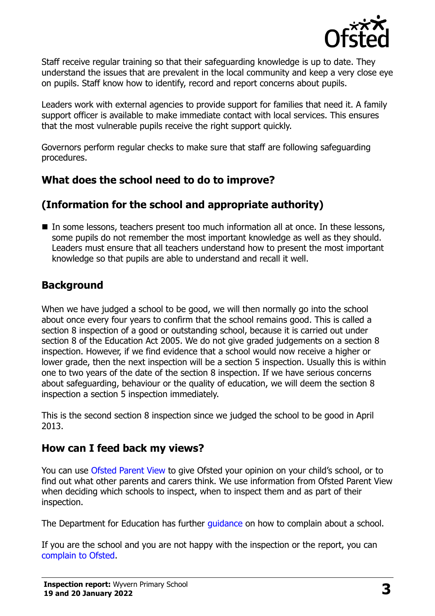

Staff receive regular training so that their safeguarding knowledge is up to date. They understand the issues that are prevalent in the local community and keep a very close eye on pupils. Staff know how to identify, record and report concerns about pupils.

Leaders work with external agencies to provide support for families that need it. A family support officer is available to make immediate contact with local services. This ensures that the most vulnerable pupils receive the right support quickly.

Governors perform regular checks to make sure that staff are following safeguarding procedures.

## **What does the school need to do to improve?**

## **(Information for the school and appropriate authority)**

In some lessons, teachers present too much information all at once. In these lessons, some pupils do not remember the most important knowledge as well as they should. Leaders must ensure that all teachers understand how to present the most important knowledge so that pupils are able to understand and recall it well.

## **Background**

When we have judged a school to be good, we will then normally go into the school about once every four years to confirm that the school remains good. This is called a section 8 inspection of a good or outstanding school, because it is carried out under section 8 of the Education Act 2005. We do not give graded judgements on a section 8 inspection. However, if we find evidence that a school would now receive a higher or lower grade, then the next inspection will be a section 5 inspection. Usually this is within one to two years of the date of the section 8 inspection. If we have serious concerns about safeguarding, behaviour or the quality of education, we will deem the section 8 inspection a section 5 inspection immediately.

This is the second section 8 inspection since we judged the school to be good in April 2013.

## **How can I feed back my views?**

You can use [Ofsted Parent View](https://parentview.ofsted.gov.uk/) to give Ofsted your opinion on your child's school, or to find out what other parents and carers think. We use information from Ofsted Parent View when deciding which schools to inspect, when to inspect them and as part of their inspection.

The Department for Education has further quidance on how to complain about a school.

If you are the school and you are not happy with the inspection or the report, you can [complain to Ofsted.](https://www.gov.uk/complain-ofsted-report)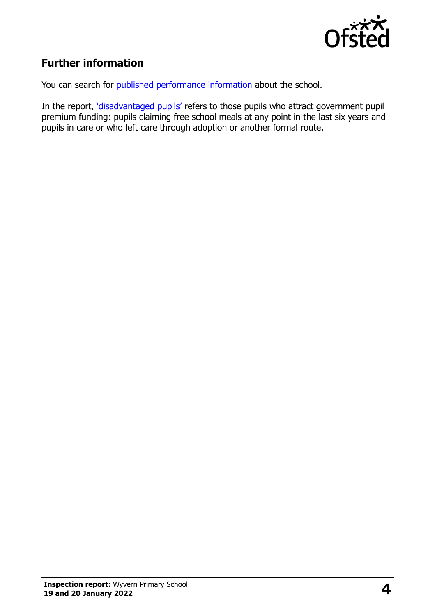

## **Further information**

You can search for [published performance information](http://www.compare-school-performance.service.gov.uk/) about the school.

In the report, '[disadvantaged pupils](http://www.gov.uk/guidance/pupil-premium-information-for-schools-and-alternative-provision-settings)' refers to those pupils who attract government pupil premium funding: pupils claiming free school meals at any point in the last six years and pupils in care or who left care through adoption or another formal route.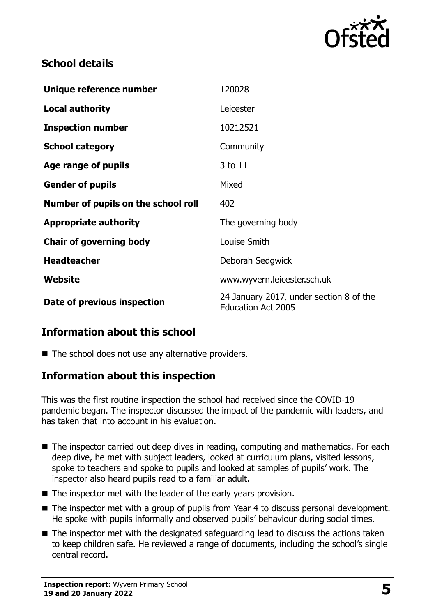

#### **School details**

| Unique reference number             | 120028                                                               |
|-------------------------------------|----------------------------------------------------------------------|
| <b>Local authority</b>              | Leicester                                                            |
| <b>Inspection number</b>            | 10212521                                                             |
| <b>School category</b>              | Community                                                            |
| Age range of pupils                 | 3 to 11                                                              |
| <b>Gender of pupils</b>             | Mixed                                                                |
| Number of pupils on the school roll | 402                                                                  |
| <b>Appropriate authority</b>        | The governing body                                                   |
| <b>Chair of governing body</b>      | Louise Smith                                                         |
| <b>Headteacher</b>                  | Deborah Sedgwick                                                     |
| Website                             | www.wyvern.leicester.sch.uk                                          |
| Date of previous inspection         | 24 January 2017, under section 8 of the<br><b>Education Act 2005</b> |

## **Information about this school**

 $\blacksquare$  The school does not use any alternative providers.

#### **Information about this inspection**

This was the first routine inspection the school had received since the COVID-19 pandemic began. The inspector discussed the impact of the pandemic with leaders, and has taken that into account in his evaluation.

- The inspector carried out deep dives in reading, computing and mathematics. For each deep dive, he met with subject leaders, looked at curriculum plans, visited lessons, spoke to teachers and spoke to pupils and looked at samples of pupils' work. The inspector also heard pupils read to a familiar adult.
- The inspector met with the leader of the early years provision.
- The inspector met with a group of pupils from Year 4 to discuss personal development. He spoke with pupils informally and observed pupils' behaviour during social times.
- The inspector met with the designated safeguarding lead to discuss the actions taken to keep children safe. He reviewed a range of documents, including the school's single central record.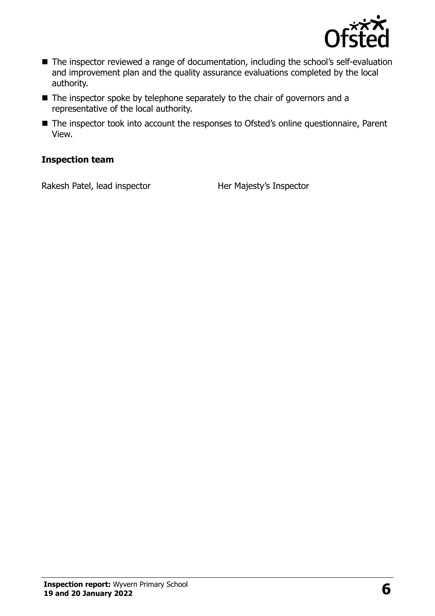

- The inspector reviewed a range of documentation, including the school's self-evaluation and improvement plan and the quality assurance evaluations completed by the local authority.
- The inspector spoke by telephone separately to the chair of governors and a representative of the local authority.
- The inspector took into account the responses to Ofsted's online questionnaire, Parent View.

#### **Inspection team**

Rakesh Patel, lead inspector **Her Majesty's Inspector**